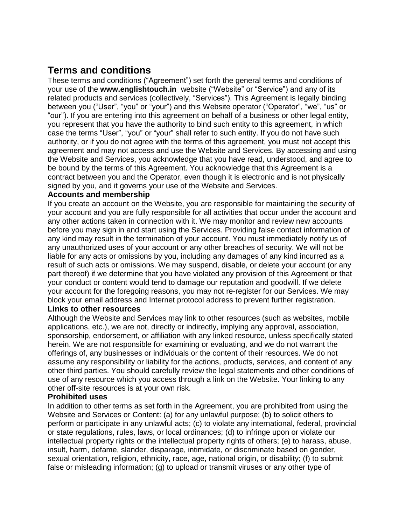# **Terms and conditions**

These terms and conditions ("Agreement") set forth the general terms and conditions of your use of the **www.englishtouch.in** website ("Website" or "Service") and any of its related products and services (collectively, "Services"). This Agreement is legally binding between you ("User", "you" or "your") and this Website operator ("Operator", "we", "us" or "our"). If you are entering into this agreement on behalf of a business or other legal entity, you represent that you have the authority to bind such entity to this agreement, in which case the terms "User", "you" or "your" shall refer to such entity. If you do not have such authority, or if you do not agree with the terms of this agreement, you must not accept this agreement and may not access and use the Website and Services. By accessing and using the Website and Services, you acknowledge that you have read, understood, and agree to be bound by the terms of this Agreement. You acknowledge that this Agreement is a contract between you and the Operator, even though it is electronic and is not physically signed by you, and it governs your use of the Website and Services.

## **Accounts and membership**

If you create an account on the Website, you are responsible for maintaining the security of your account and you are fully responsible for all activities that occur under the account and any other actions taken in connection with it. We may monitor and review new accounts before you may sign in and start using the Services. Providing false contact information of any kind may result in the termination of your account. You must immediately notify us of any unauthorized uses of your account or any other breaches of security. We will not be liable for any acts or omissions by you, including any damages of any kind incurred as a result of such acts or omissions. We may suspend, disable, or delete your account (or any part thereof) if we determine that you have violated any provision of this Agreement or that your conduct or content would tend to damage our reputation and goodwill. If we delete your account for the foregoing reasons, you may not re-register for our Services. We may block your email address and Internet protocol address to prevent further registration.

## **Links to other resources**

Although the Website and Services may link to other resources (such as websites, mobile applications, etc.), we are not, directly or indirectly, implying any approval, association, sponsorship, endorsement, or affiliation with any linked resource, unless specifically stated herein. We are not responsible for examining or evaluating, and we do not warrant the offerings of, any businesses or individuals or the content of their resources. We do not assume any responsibility or liability for the actions, products, services, and content of any other third parties. You should carefully review the legal statements and other conditions of use of any resource which you access through a link on the Website. Your linking to any other off-site resources is at your own risk.

## **Prohibited uses**

In addition to other terms as set forth in the Agreement, you are prohibited from using the Website and Services or Content: (a) for any unlawful purpose; (b) to solicit others to perform or participate in any unlawful acts; (c) to violate any international, federal, provincial or state regulations, rules, laws, or local ordinances; (d) to infringe upon or violate our intellectual property rights or the intellectual property rights of others; (e) to harass, abuse, insult, harm, defame, slander, disparage, intimidate, or discriminate based on gender, sexual orientation, religion, ethnicity, race, age, national origin, or disability; (f) to submit false or misleading information; (g) to upload or transmit viruses or any other type of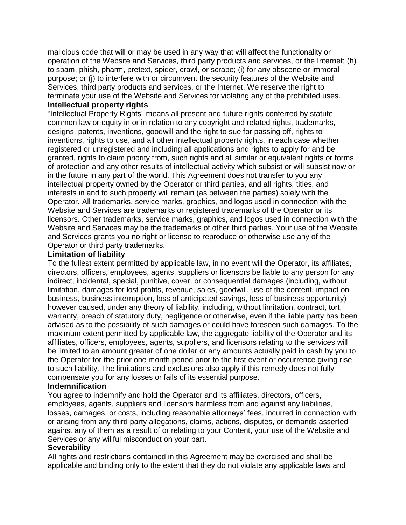malicious code that will or may be used in any way that will affect the functionality or operation of the Website and Services, third party products and services, or the Internet; (h) to spam, phish, pharm, pretext, spider, crawl, or scrape; (i) for any obscene or immoral purpose; or (j) to interfere with or circumvent the security features of the Website and Services, third party products and services, or the Internet. We reserve the right to terminate your use of the Website and Services for violating any of the prohibited uses.

#### **Intellectual property rights**

"Intellectual Property Rights" means all present and future rights conferred by statute, common law or equity in or in relation to any copyright and related rights, trademarks, designs, patents, inventions, goodwill and the right to sue for passing off, rights to inventions, rights to use, and all other intellectual property rights, in each case whether registered or unregistered and including all applications and rights to apply for and be granted, rights to claim priority from, such rights and all similar or equivalent rights or forms of protection and any other results of intellectual activity which subsist or will subsist now or in the future in any part of the world. This Agreement does not transfer to you any intellectual property owned by the Operator or third parties, and all rights, titles, and interests in and to such property will remain (as between the parties) solely with the Operator. All trademarks, service marks, graphics, and logos used in connection with the Website and Services are trademarks or registered trademarks of the Operator or its licensors. Other trademarks, service marks, graphics, and logos used in connection with the Website and Services may be the trademarks of other third parties. Your use of the Website and Services grants you no right or license to reproduce or otherwise use any of the Operator or third party trademarks.

## **Limitation of liability**

To the fullest extent permitted by applicable law, in no event will the Operator, its affiliates, directors, officers, employees, agents, suppliers or licensors be liable to any person for any indirect, incidental, special, punitive, cover, or consequential damages (including, without limitation, damages for lost profits, revenue, sales, goodwill, use of the content, impact on business, business interruption, loss of anticipated savings, loss of business opportunity) however caused, under any theory of liability, including, without limitation, contract, tort, warranty, breach of statutory duty, negligence or otherwise, even if the liable party has been advised as to the possibility of such damages or could have foreseen such damages. To the maximum extent permitted by applicable law, the aggregate liability of the Operator and its affiliates, officers, employees, agents, suppliers, and licensors relating to the services will be limited to an amount greater of one dollar or any amounts actually paid in cash by you to the Operator for the prior one month period prior to the first event or occurrence giving rise to such liability. The limitations and exclusions also apply if this remedy does not fully compensate you for any losses or fails of its essential purpose.

## **Indemnification**

You agree to indemnify and hold the Operator and its affiliates, directors, officers, employees, agents, suppliers and licensors harmless from and against any liabilities, losses, damages, or costs, including reasonable attorneys' fees, incurred in connection with or arising from any third party allegations, claims, actions, disputes, or demands asserted against any of them as a result of or relating to your Content, your use of the Website and Services or any willful misconduct on your part.

## **Severability**

All rights and restrictions contained in this Agreement may be exercised and shall be applicable and binding only to the extent that they do not violate any applicable laws and